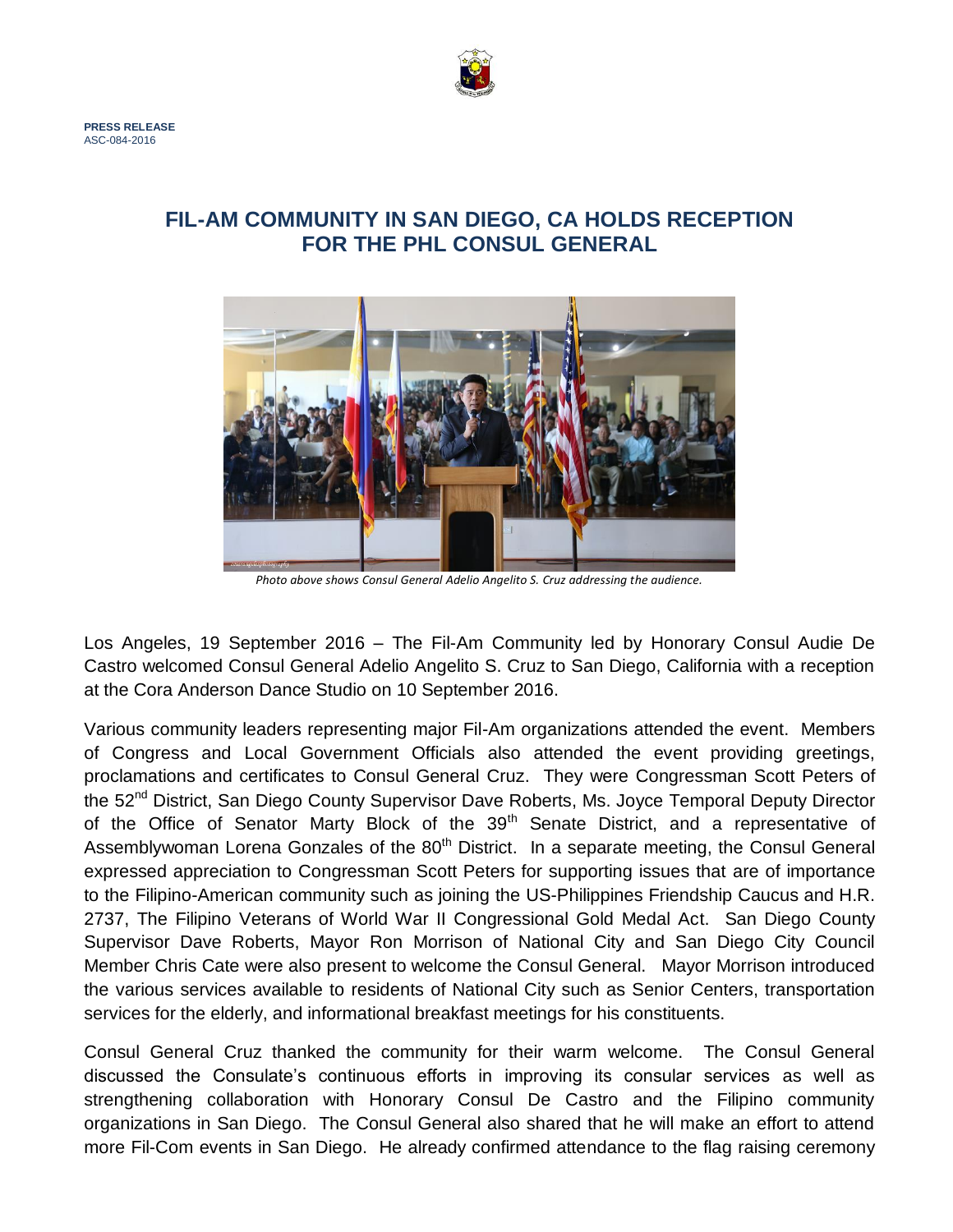

## **FIL-AM COMMUNITY IN SAN DIEGO, CA HOLDS RECEPTION FOR THE PHL CONSUL GENERAL**



*Photo above shows Consul General Adelio Angelito S. Cruz addressing the audience.*

Los Angeles, 19 September 2016 – The Fil-Am Community led by Honorary Consul Audie De Castro welcomed Consul General Adelio Angelito S. Cruz to San Diego, California with a reception at the Cora Anderson Dance Studio on 10 September 2016.

Various community leaders representing major Fil-Am organizations attended the event. Members of Congress and Local Government Officials also attended the event providing greetings, proclamations and certificates to Consul General Cruz. They were Congressman Scott Peters of the 52<sup>nd</sup> District, San Diego County Supervisor Dave Roberts, Ms. Joyce Temporal Deputy Director of the Office of Senator Marty Block of the 39<sup>th</sup> Senate District, and a representative of Assemblywoman Lorena Gonzales of the 80<sup>th</sup> District. In a separate meeting, the Consul General expressed appreciation to Congressman Scott Peters for supporting issues that are of importance to the Filipino-American community such as joining the US-Philippines Friendship Caucus and H.R. 2737, The Filipino Veterans of World War II Congressional Gold Medal Act. San Diego County Supervisor Dave Roberts, Mayor Ron Morrison of National City and San Diego City Council Member Chris Cate were also present to welcome the Consul General. Mayor Morrison introduced the various services available to residents of National City such as Senior Centers, transportation services for the elderly, and informational breakfast meetings for his constituents.

Consul General Cruz thanked the community for their warm welcome. The Consul General discussed the Consulate's continuous efforts in improving its consular services as well as strengthening collaboration with Honorary Consul De Castro and the Filipino community organizations in San Diego. The Consul General also shared that he will make an effort to attend more Fil-Com events in San Diego. He already confirmed attendance to the flag raising ceremony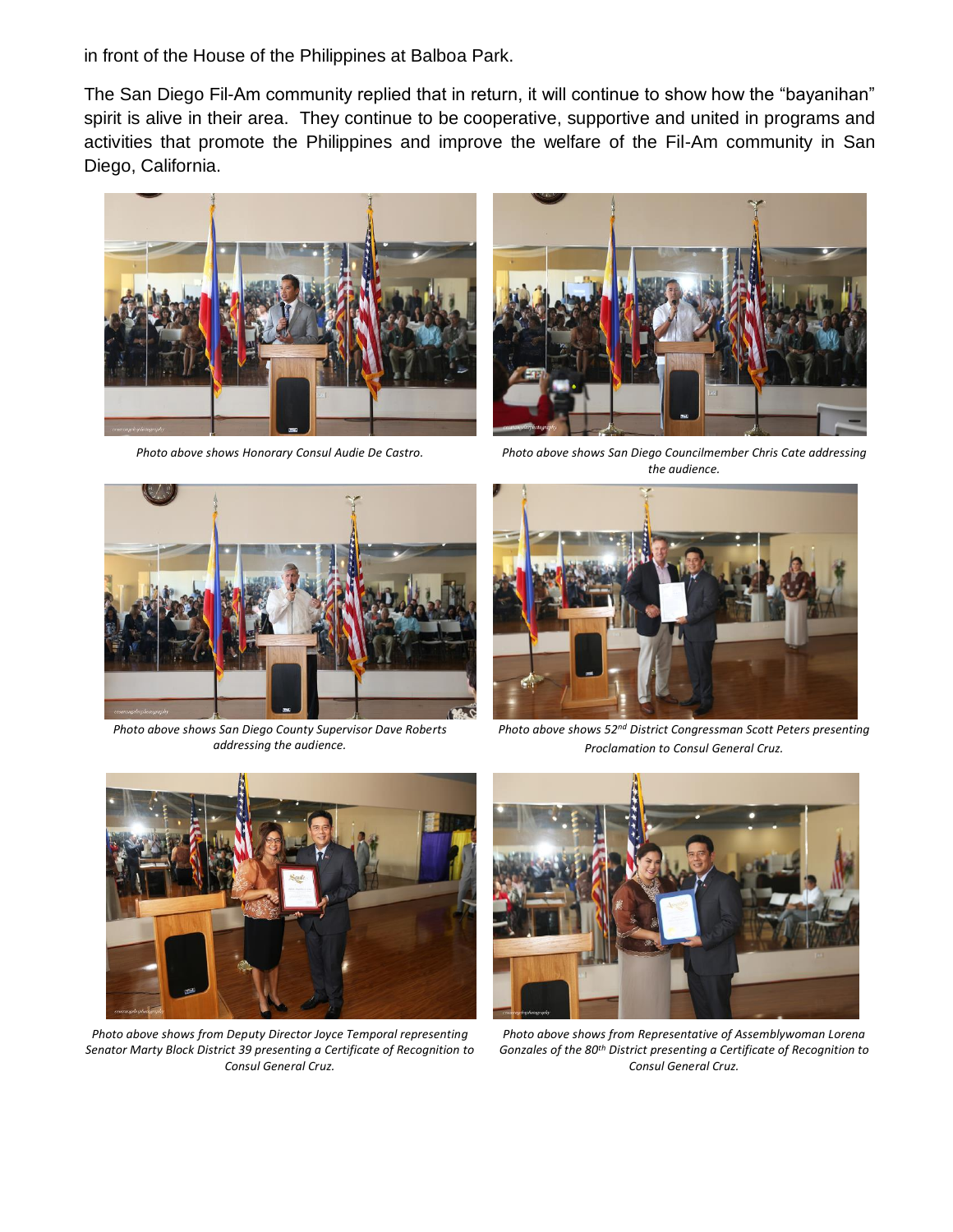in front of the House of the Philippines at Balboa Park.

The San Diego Fil-Am community replied that in return, it will continue to show how the "bayanihan" spirit is alive in their area. They continue to be cooperative, supportive and united in programs and activities that promote the Philippines and improve the welfare of the Fil-Am community in San Diego, California.





*Photo above shows Honorary Consul Audie De Castro. Photo above shows San Diego Councilmember Chris Cate addressing the audience.*



*Photo above shows San Diego County Supervisor Dave Roberts addressing the audience.*



*Photo above shows 52nd District Congressman Scott Peters presenting Proclamation to Consul General Cruz.*



*Photo above shows from Deputy Director Joyce Temporal representing Senator Marty Block District 39 presenting a Certificate of Recognition to Consul General Cruz.*



*Photo above shows from Representative of Assemblywoman Lorena Gonzales of the 80th District presenting a Certificate of Recognition to Consul General Cruz.*